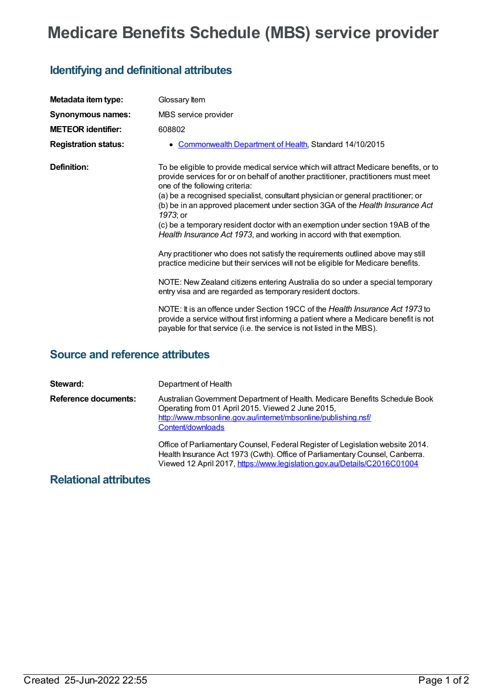## **Medicare Benefits Schedule (MBS) service provider**

## **Identifying and definitional attributes**

| Metadata item type:         | Glossary Item                                                                                                                                                                                                                                                                                                                                                                                                                                                                                                                                                                                                                                                                                                                                                                                                                                                                                                                                                                                                                                                                                                                    |
|-----------------------------|----------------------------------------------------------------------------------------------------------------------------------------------------------------------------------------------------------------------------------------------------------------------------------------------------------------------------------------------------------------------------------------------------------------------------------------------------------------------------------------------------------------------------------------------------------------------------------------------------------------------------------------------------------------------------------------------------------------------------------------------------------------------------------------------------------------------------------------------------------------------------------------------------------------------------------------------------------------------------------------------------------------------------------------------------------------------------------------------------------------------------------|
| <b>Synonymous names:</b>    | MBS service provider                                                                                                                                                                                                                                                                                                                                                                                                                                                                                                                                                                                                                                                                                                                                                                                                                                                                                                                                                                                                                                                                                                             |
| <b>METEOR identifier:</b>   | 608802                                                                                                                                                                                                                                                                                                                                                                                                                                                                                                                                                                                                                                                                                                                                                                                                                                                                                                                                                                                                                                                                                                                           |
| <b>Registration status:</b> | Commonwealth Department of Health, Standard 14/10/2015                                                                                                                                                                                                                                                                                                                                                                                                                                                                                                                                                                                                                                                                                                                                                                                                                                                                                                                                                                                                                                                                           |
| Definition:                 | To be eligible to provide medical service which will attract Medicare benefits, or to<br>provide services for or on behalf of another practitioner, practitioners must meet<br>one of the following criteria:<br>(a) be a recognised specialist, consultant physician or general practitioner; or<br>(b) be in an approved placement under section 3GA of the Health Insurance Act<br>1973; or<br>(c) be a temporary resident doctor with an exemption under section 19AB of the<br>Health Insurance Act 1973, and working in accord with that exemption.<br>Any practitioner who does not satisfy the requirements outlined above may still<br>practice medicine but their services will not be eligible for Medicare benefits.<br>NOTE: New Zealand citizens entering Australia do so under a special temporary<br>entry visa and are regarded as temporary resident doctors.<br>NOTE: It is an offence under Section 19CC of the Health Insurance Act 1973 to<br>provide a service without first informing a patient where a Medicare benefit is not<br>payable for that service (i.e. the service is not listed in the MBS). |

## **Source and reference attributes**

| Steward:                    | Department of Health                                                                                                                                                                                                                       |
|-----------------------------|--------------------------------------------------------------------------------------------------------------------------------------------------------------------------------------------------------------------------------------------|
| <b>Reference documents:</b> | Australian Government Department of Health. Medicare Benefits Schedule Book<br>Operating from 01 April 2015. Viewed 2 June 2015,<br>http://www.mbsonline.gov.au/internet/mbsonline/publishing.nsf/<br>Content/downloads                    |
|                             | Office of Parliamentary Counsel, Federal Register of Legislation website 2014.<br>Health Insurance Act 1973 (Cwth). Office of Parliamentary Counsel, Canberra.<br>Viewed 12 April 2017, https://www.legislation.gov.au/Details/C2016C01004 |

## **Relational attributes**